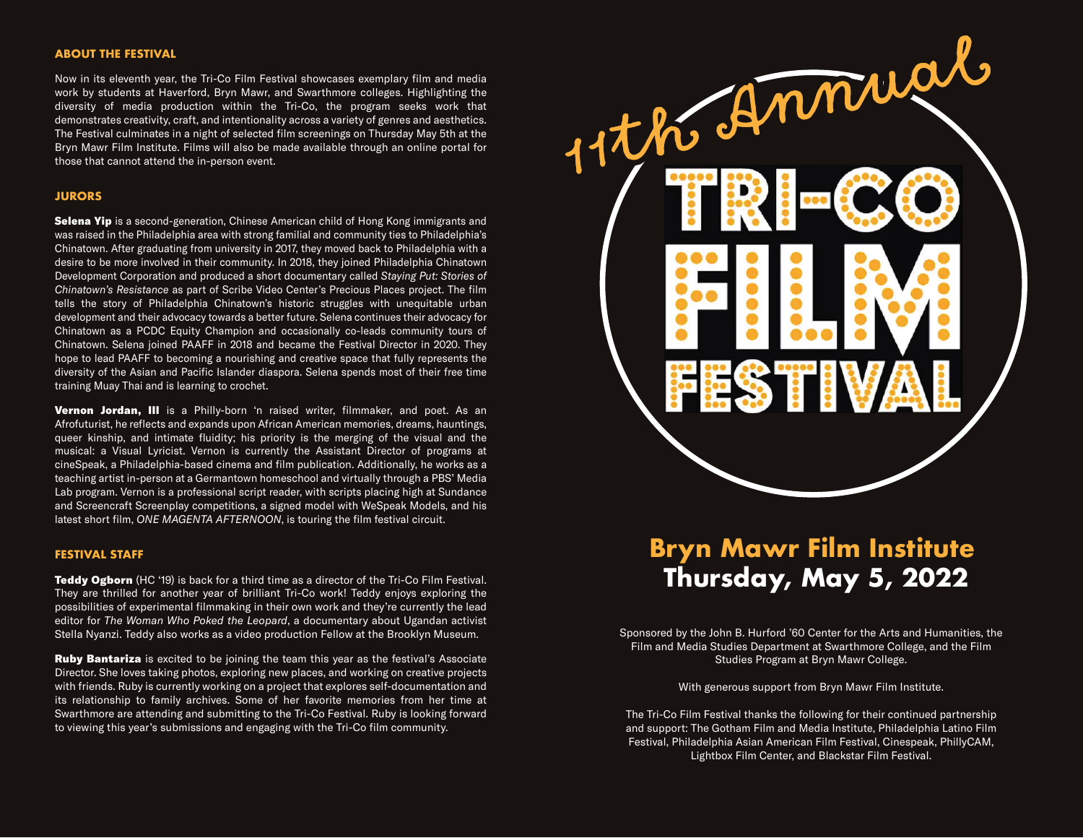#### **ABOUT THE FESTIVAL**

Now in its eleventh year, the Tri-Co Film Festival showcases exemplary film and media work by students at Haverford, Bryn Mawr, and Swarthmore colleges. Highlighting the diversity of media production within the Tri-Co, the program seeks work that demonstrates creativity, craft, and intentionality across a variety of genres and aesthetics. The Festival culminates in a night of selected film screenings on Thursday May 5th at the Bryn Mawr Film Institute. Films will also be made available through an online portal for those that cannot attend the in-person event.

#### **JURORS**

Selena Yip is a second-generation, Chinese American child of Hong Kong immigrants and was raised in the Philadelphia area with strong familial and community ties to Philadelphia's Chinatown. After graduating from university in 2017, they moved back to Philadelphia with a desire to be more involved in their community. In 2018, they joined Philadelphia Chinatown Development Corporation and produced a short documentary called *Staying Put: Stories of Chinatown's Resistance* as part of Scribe Video Center's Precious Places project. The film tells the story of Philadelphia Chinatown's historic struggles with unequitable urban development and their advocacy towards a better future. Selena continues their advocacy for Chinatown as a PCDC Equity Champion and occasionally co-leads community tours of Chinatown. Selena joined PAAFF in 2018 and became the Festival Director in 2020. They hope to lead PAAFF to becoming a nourishing and creative space that fully represents the diversity of the Asian and Pacific Islander diaspora. Selena spends most of their free time training Muay Thai and is learning to crochet.

Vernon Jordan, III is a Philly-born 'n raised writer, filmmaker, and poet. As an Afrofuturist, he reflects and expands upon African American memories, dreams, hauntings, queer kinship, and intimate fluidity; his priority is the merging of the visual and the musical: a Visual Lyricist. Vernon is currently the Assistant Director of programs at cineSpeak, a Philadelphia-based cinema and film publication. Additionally, he works as a teaching artist in-person at a Germantown homeschool and virtually through a PBS' Media Lab program. Vernon is a professional script reader, with scripts placing high at Sundance and Screencraft Screenplay competitions, a signed model with WeSpeak Models, and his latest short film, *ONE MAGENTA AFTERNOON*, is touring the film festival circuit.

#### **FESTIVAL STAFF**

**Teddy Ogborn** (HC '19) is back for a third time as a director of the Tri-Co Film Festival. They are thrilled for another year of brilliant Tri-Co work! Teddy enjoys exploring the possibilities of experimental filmmaking in their own work and they're currently the lead editor for *The Woman Who Poked the Leopard*, a documentary about Ugandan activist Stella Nyanzi. Teddy also works as a video production Fellow at the Brooklyn Museum.

**Ruby Bantariza** is excited to be joining the team this year as the festival's Associate Director. She loves taking photos, exploring new places, and working on creative projects with friends. Ruby is currently working on a project that explores self-documentation and its relationship to family archives. Some of her favorite memories from her time at Swarthmore are attending and submitting to the Tri-Co Festival. Ruby is looking forward to viewing this year's submissions and engaging with the Tri-Co film community.



# **Bryn Mawr Film Institute Thursday, May 5, 2022**

Sponsored by the John B. Hurford '60 Center for the Arts and Humanities, the Film and Media Studies Department at Swarthmore College, and the Film Studies Program at Bryn Mawr College.

With generous support from Bryn Mawr Film Institute.

The Tri-Co Film Festival thanks the following for their continued partnership and support: The Gotham Film and Media Institute, Philadelphia Latino Film Festival, Philadelphia Asian American Film Festival, Cinespeak, PhillyCAM, Lightbox Film Center, and Blackstar Film Festival.